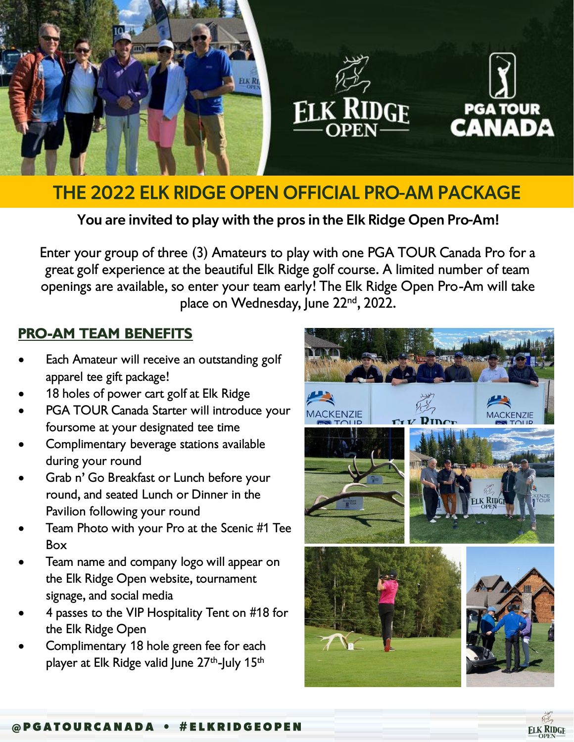





## **THE 2022 ELK RIDGE OPEN OFFICIAL PRO-AM PACKAGE**

You are invited to play with the pros in the Elk Ridge Open Pro-Am!

*Enter your group of three (3) Amateurs to play with one PGA TOUR Canada Pro for a great golf experience at the beautiful Elk Ridge golf course. A limited number of team openings are available, so enter your team early! The Elk Ridge Open Pro-Am will take place on Wednesday, June 22nd, 2022.* 

## *PRO-AM TEAM BENEFITS*

- *Each Amateur will receive an outstanding golf apparel tee gift package!*
- *18 holes of power cart golf at Elk Ridge*
- *PGA TOUR Canada Starter will introduce your foursome at your designated tee time*
- *Complimentary beverage stations available during your round*
- *Grab n' Go Breakfast or Lunch before your round, and seated Lunch or Dinner in the Pavilion following your round*
- *Team Photo with your Pro at the Scenic #1 Tee Box*
- *Team name and company logo will appear on the Elk Ridge Open website, tournament signage, and social media*
- *4 passes to the VIP Hospitality Tent on #18 for the Elk Ridge Open*
- *Complimentary 18 hole green fee for each player at Elk Ridge valid June 27th -July 15th*



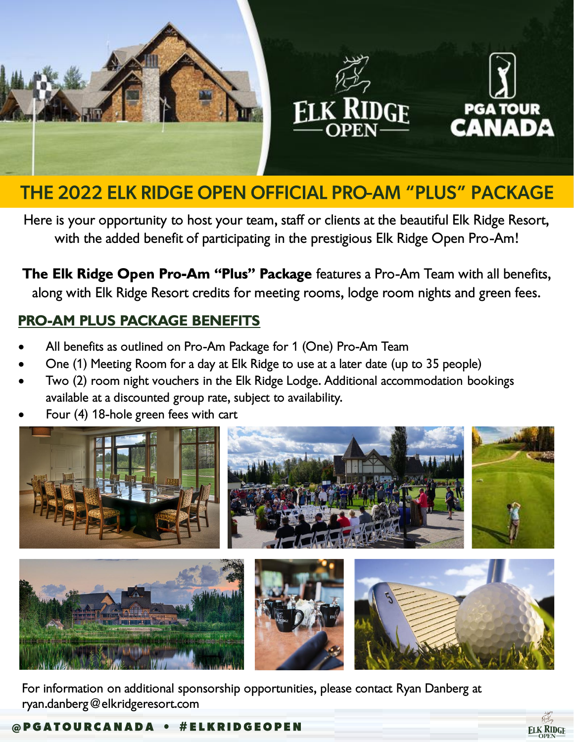





## THE 2022 ELK RIDGE OPEN OFFICIAL PRO-AM "PLUS" PACKAGE

*Here is your opportunity to host your team, staff or clients at the beautiful Elk Ridge Resort, with the added benefit of participating in the prestigious Elk Ridge Open Pro-Am!*

*The Elk Ridge Open Pro-Am "Plus" Package features a Pro-Am Team with all benefits, along with Elk Ridge Resort credits for meeting rooms, lodge room nights and green fees.* 

## *PRO-AM PLUS PACKAGE BENEFITS*

- *All benefits as outlined on Pro-Am Package for 1 (One) Pro-Am Team*
- *One (1) Meeting Room for a day at Elk Ridge to use at a later date (up to 35 people)*
- *Two (2) room night vouchers in the Elk Ridge Lodge. Additional accommodation bookings available at a discounted group rate, subject to availability.*
- *Four (4) 18-hole green fees with cart*



*For information on additional sponsorship opportunities, please contact Ryan Danberg at ryan.danberg@elkridgeresort.com*

@PGATOURCANADA . #ELKRIDGEOPEN